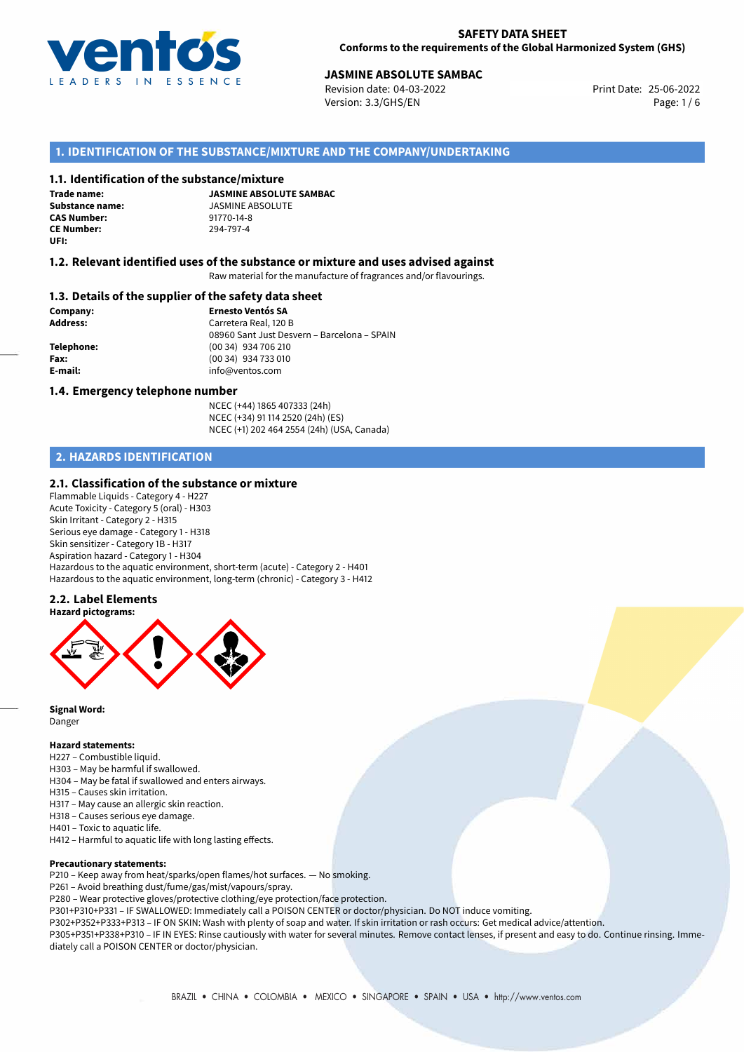

## 25-06-2022 **JASMINE ABSOLUTE SAMBAC**

Revision date: 04-03-2022 Version: 3.3/GHS/EN Page: 1 / 6

## **1. IDENTIFICATION OF THE SUBSTANCE/MIXTURE AND THE COMPANY/UNDERTAKING**

#### **1.1. Identification of the substance/mixture**

**Trade name: CAS Number:** 91770-14-8 **CE Number:** 294-797-4 **UFI:**

**JASMINE ABSOLUTE SAMBAC Substance name:** JASMINE ABSOLUTE<br> **CAS Number:** 91770-14-8

#### **1.2. Relevant identified uses of the substance or mixture and uses advised against**

Raw material for the manufacture of fragrances and/or flavourings.

#### **1.3. Details of the supplier of the safety data sheet**

**Company: Ernesto Ventós SA Address:** Carretera Real, 120 B 08960 Sant Just Desvern – Barcelona – SPAIN **Telephone:** (00 34) 934 706 210 **Fax:** (00 34) 934 733 010 **E-mail:** info@ventos.com

#### **1.4. Emergency telephone number**

NCEC (+44) 1865 407333 (24h) NCEC (+34) 91 114 2520 (24h) (ES) NCEC (+1) 202 464 2554 (24h) (USA, Canada)

## **2. HAZARDS IDENTIFICATION**

### **2.1. Classification of the substance or mixture**

Flammable Liquids - Category 4 - H227 Acute Toxicity - Category 5 (oral) - H303 Skin Irritant - Category 2 - H315 Serious eye damage - Category 1 - H318 Skin sensitizer - Category 1B - H317 Aspiration hazard - Category 1 - H304 Hazardous to the aquatic environment, short-term (acute) - Category 2 - H401 Hazardous to the aquatic environment, long-term (chronic) - Category 3 - H412

## **2.2. Label Elements**



**Signal Word:** Danger

#### **Hazard statements:**

- H227 Combustible liquid.
- H303 May be harmful if swallowed.
- H304 May be fatal if swallowed and enters airways.
- H315 Causes skin irritation.
- H317 May cause an allergic skin reaction.
- H318 Causes serious eye damage.
- H401 Toxic to aquatic life.
- H412 Harmful to aquatic life with long lasting effects.

#### **Precautionary statements:**

P210 – Keep away from heat/sparks/open flames/hot surfaces. — No smoking.

P261 – Avoid breathing dust/fume/gas/mist/vapours/spray.

P280 – Wear protective gloves/protective clothing/eye protection/face protection.

P301+P310+P331 – IF SWALLOWED: Immediately call a POISON CENTER or doctor/physician. Do NOT induce vomiting.

P302+P352+P333+P313 – IF ON SKIN: Wash with plenty of soap and water. If skin irritation or rash occurs: Get medical advice/attention. P305+P351+P338+P310 – IF IN EYES: Rinse cautiously with water for several minutes. Remove contact lenses, if present and easy to do. Continue rinsing. Immediately call a POISON CENTER or doctor/physician.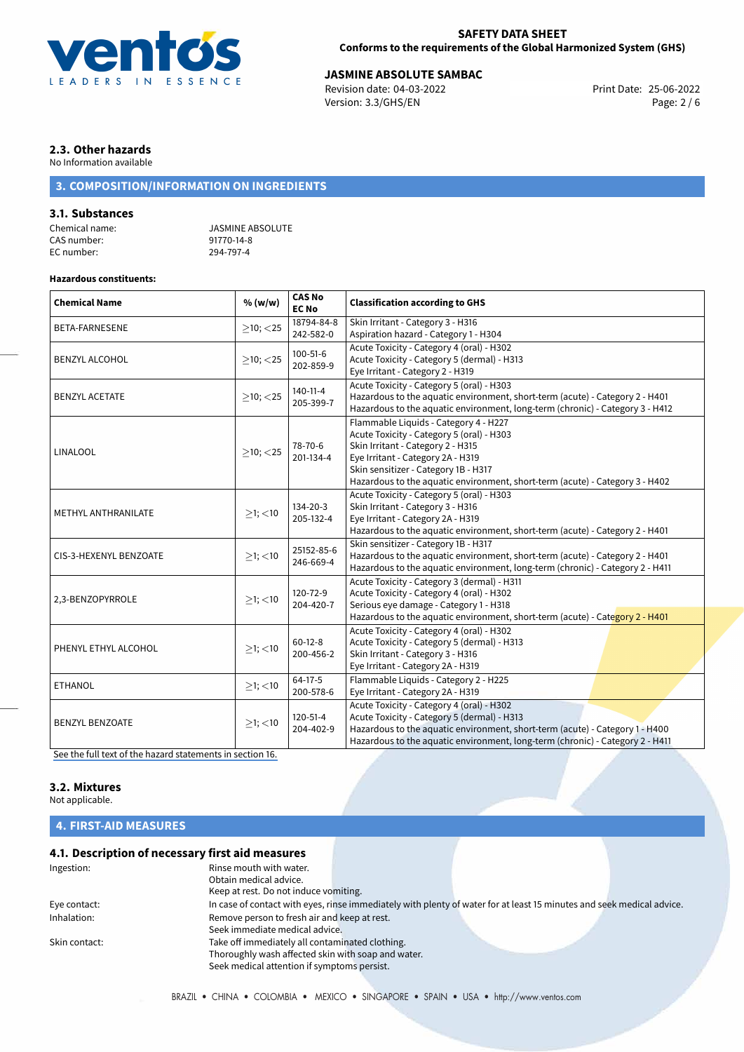

## **SAFETY DATA SHEET Conforms to the requirements of the Global Harmonized System (GHS)**

# **JASMINE ABSOLUTE SAMBAC**<br>
Revision date: 04-03-2022<br> **Print Date: 25-06-2022**

Revision date: 04-03-2022 Version: 3.3/GHS/EN Page: 2 / 6

## **2.3. Other hazards**

No Information available

## **3. COMPOSITION/INFORMATION ON INGREDIENTS**

## **3.1. Substances**

CAS number: 91770-14-8<br>EC number: 294-797-4 EC number:

Chemical name: JASMINE ABSOLUTE

## **Hazardous constituents:**

| <b>Chemical Name</b>   | % (w/w)        | <b>CAS No</b><br><b>EC No</b> | <b>Classification according to GHS</b>                                                                                                                                                                                                                                               |  |
|------------------------|----------------|-------------------------------|--------------------------------------------------------------------------------------------------------------------------------------------------------------------------------------------------------------------------------------------------------------------------------------|--|
| <b>BETA-FARNESENE</b>  | $>10$ ; < 25   | 18794-84-8<br>242-582-0       | Skin Irritant - Category 3 - H316<br>Aspiration hazard - Category 1 - H304                                                                                                                                                                                                           |  |
| <b>BENZYL ALCOHOL</b>  | $>10$ ; $<$ 25 | $100 - 51 - 6$<br>202-859-9   | Acute Toxicity - Category 4 (oral) - H302<br>Acute Toxicity - Category 5 (dermal) - H313<br>Eye Irritant - Category 2 - H319                                                                                                                                                         |  |
| <b>BENZYL ACETATE</b>  | $>10$ ; $<$ 25 | 140-11-4<br>205-399-7         | Acute Toxicity - Category 5 (oral) - H303<br>Hazardous to the aquatic environment, short-term (acute) - Category 2 - H401<br>Hazardous to the aquatic environment, long-term (chronic) - Category 3 - H412                                                                           |  |
| LINALOOL               | $\geq$ 10; <25 | 78-70-6<br>201-134-4          | Flammable Liquids - Category 4 - H227<br>Acute Toxicity - Category 5 (oral) - H303<br>Skin Irritant - Category 2 - H315<br>Eye Irritant - Category 2A - H319<br>Skin sensitizer - Category 1B - H317<br>Hazardous to the aquatic environment, short-term (acute) - Category 3 - H402 |  |
| METHYL ANTHRANILATE    | $>1$ ; $<$ 10  | 134-20-3<br>205-132-4         | Acute Toxicity - Category 5 (oral) - H303<br>Skin Irritant - Category 3 - H316<br>Eye Irritant - Category 2A - H319<br>Hazardous to the aquatic environment, short-term (acute) - Category 2 - H401                                                                                  |  |
| CIS-3-HEXENYL BENZOATE | $>1$ ; <10     | 25152-85-6<br>246-669-4       | Skin sensitizer - Category 1B - H317<br>Hazardous to the aquatic environment, short-term (acute) - Category 2 - H401<br>Hazardous to the aquatic environment, long-term (chronic) - Category 2 - H411                                                                                |  |
| 2,3-BENZOPYRROLE       | $>1$ ; $<$ 10  | 120-72-9<br>204-420-7         | Acute Toxicity - Category 3 (dermal) - H311<br>Acute Toxicity - Category 4 (oral) - H302<br>Serious eye damage - Category 1 - H318<br>Hazardous to the aquatic environment, short-term (acute) - Category 2 - H401                                                                   |  |
| PHENYL ETHYL ALCOHOL   | $\geq$ 1; <10  | $60-12-8$<br>200-456-2        | Acute Toxicity - Category 4 (oral) - H302<br>Acute Toxicity - Category 5 (dermal) - H313<br>Skin Irritant - Category 3 - H316<br>Eye Irritant - Category 2A - H319                                                                                                                   |  |
| <b>ETHANOL</b>         | $\geq$ 1; <10  | $64-17-5$<br>200-578-6        | Flammable Liquids - Category 2 - H225<br>Eye Irritant - Category 2A - H319                                                                                                                                                                                                           |  |
| <b>BENZYL BENZOATE</b> | $>1$ ; <10     | $120 - 51 - 4$<br>204-402-9   | Acute Toxicity - Category 4 (oral) - H302<br>Acute Toxicity - Category 5 (dermal) - H313<br>Hazardous to the aquatic environment, short-term (acute) - Category 1 - H400<br>Hazardous to the aquatic environment, long-term (chronic) - Category 2 - H411                            |  |

[See the full text of the hazard statements in section 16.](#page-4-0)

## **3.2. Mixtures**

Not applicable.

## **4. FIRST-AID MEASURES**

## **4.1. Description of necessary first aid measures**

| Ingestion:    | Rinse mouth with water.<br>Obtain medical advice.                                                                     |
|---------------|-----------------------------------------------------------------------------------------------------------------------|
|               | Keep at rest. Do not induce vomiting.                                                                                 |
| Eye contact:  | In case of contact with eyes, rinse immediately with plenty of water for at least 15 minutes and seek medical advice. |
| Inhalation:   | Remove person to fresh air and keep at rest.                                                                          |
|               | Seek immediate medical advice.                                                                                        |
| Skin contact: | Take off immediately all contaminated clothing.                                                                       |
|               | Thoroughly wash affected skin with soap and water.                                                                    |
|               | Seek medical attention if symptoms persist.                                                                           |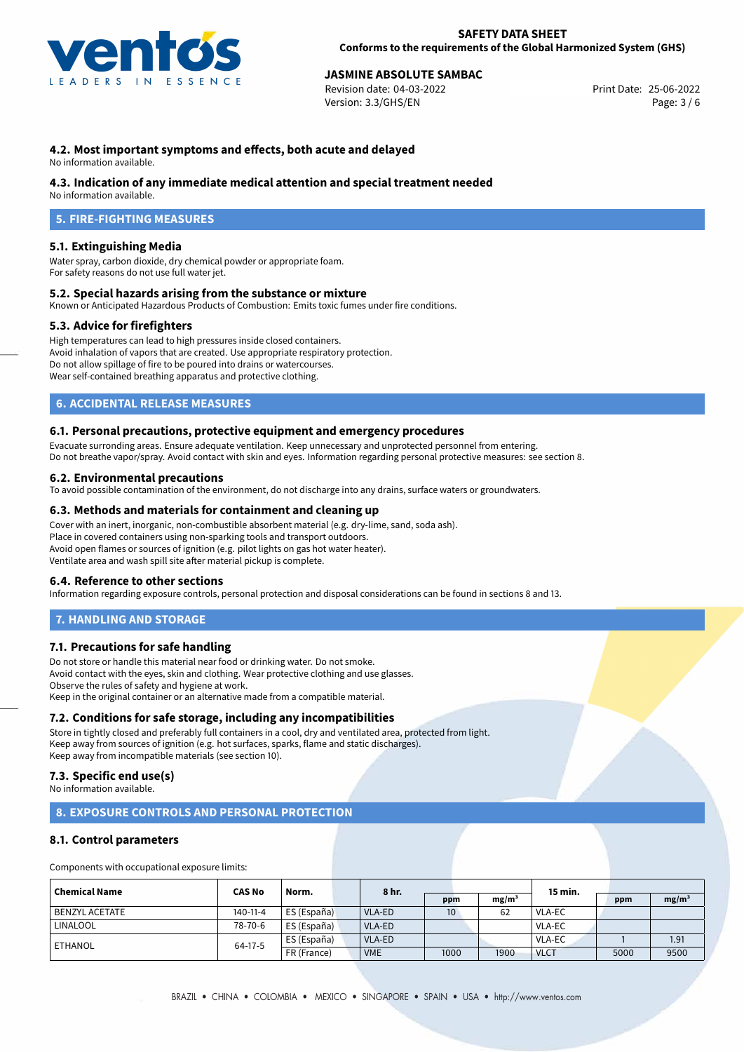

## 25-06-2022 **JASMINE ABSOLUTE SAMBAC**

Revision date: 04-03-2022 Version: 3.3/GHS/EN Page: 3 / 6

## **4.2. Most important symptoms and effects, both acute and delayed**

No information available.

#### **4.3. Indication of any immediate medical attention and special treatment needed**

No information available.

## **5. FIRE-FIGHTING MEASURES**

## **5.1. Extinguishing Media**

Water spray, carbon dioxide, dry chemical powder or appropriate foam. For safety reasons do not use full water jet.

#### **5.2. Special hazards arising from the substance or mixture**

Known or Anticipated Hazardous Products of Combustion: Emits toxic fumes under fire conditions.

#### **5.3. Advice for firefighters**

High temperatures can lead to high pressures inside closed containers. Avoid inhalation of vapors that are created. Use appropriate respiratory protection. Do not allow spillage of fire to be poured into drains or watercourses. Wear self-contained breathing apparatus and protective clothing.

## **6. ACCIDENTAL RELEASE MEASURES**

#### **6.1. Personal precautions, protective equipment and emergency procedures**

Evacuate surronding areas. Ensure adequate ventilation. Keep unnecessary and unprotected personnel from entering. Do not breathe vapor/spray. Avoid contact with skin and eyes. Information regarding personal protective measures: see section 8.

#### **6.2. Environmental precautions**

To avoid possible contamination of the environment, do not discharge into any drains, surface waters or groundwaters.

#### **6.3. Methods and materials for containment and cleaning up**

Cover with an inert, inorganic, non-combustible absorbent material (e.g. dry-lime, sand, soda ash). Place in covered containers using non-sparking tools and transport outdoors. Avoid open flames or sources of ignition (e.g. pilot lights on gas hot water heater). Ventilate area and wash spill site after material pickup is complete.

#### **6.4. Reference to other sections**

Information regarding exposure controls, personal protection and disposal considerations can be found in sections 8 and 13.

## **7. HANDLING AND STORAGE**

## **7.1. Precautions for safe handling**

Do not store or handle this material near food or drinking water. Do not smoke. Avoid contact with the eyes, skin and clothing. Wear protective clothing and use glasses. Observe the rules of safety and hygiene at work. Keep in the original container or an alternative made from a compatible material.

## **7.2. Conditions for safe storage, including any incompatibilities**

Store in tightly closed and preferably full containers in a cool, dry and ventilated area, protected from light. Keep away from sources of ignition (e.g. hot surfaces, sparks, flame and static discharges). Keep away from incompatible materials (see section 10).

## **7.3. Specific end use(s)**

No information available.

## **8. EXPOSURE CONTROLS AND PERSONAL PROTECTION**

#### **8.1. Control parameters**

Components with occupational exposure limits:

| <b>Chemical Name</b>  | <b>CAS No</b>  | Norm.       | 8 hr.      |                 |                   | 15 min.       |      |                   |  |
|-----------------------|----------------|-------------|------------|-----------------|-------------------|---------------|------|-------------------|--|
|                       |                |             |            | ppm             | mg/m <sup>3</sup> |               | ppm  | mg/m <sup>3</sup> |  |
| <b>BENZYL ACETATE</b> | $140 - 11 - 4$ | ES (España) | VLA-ED     | 10 <sup>°</sup> | 62                | <b>VLA-EC</b> |      |                   |  |
| LINALOOL              | 78-70-6        | ES (España) | VLA-ED     |                 |                   | VLA-EC        |      |                   |  |
| ETHANOL               | $64-17-5$      | ES (España) | VLA-ED     |                 |                   | <b>VLA-EC</b> |      | 1.91              |  |
|                       |                | FR (France) | <b>VME</b> | 1000            | 1900              | <b>VLCT</b>   | 5000 | 9500              |  |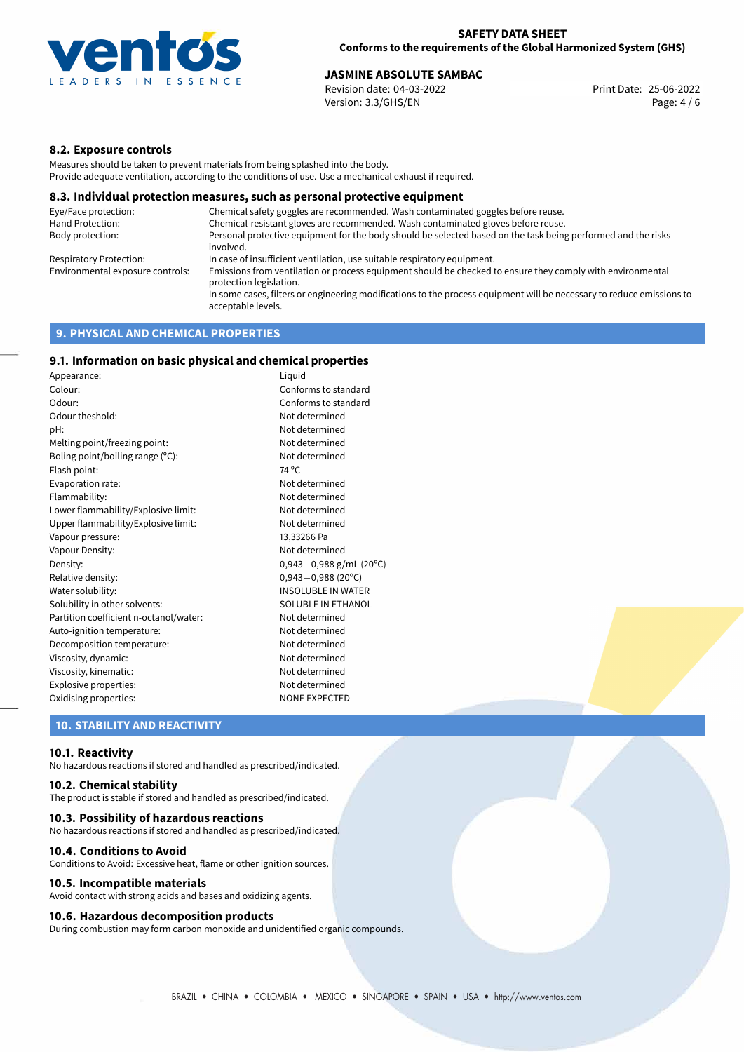

## **JASMINE ABSOLUTE SAMBAC**<br>
Revision date: 04-03-2022<br> **Print Date: 25-06-2022**

Revision date: 04-03-2022 Version: 3.3/GHS/EN Page: 4 / 6

## **8.2. Exposure controls**

Measures should be taken to prevent materials from being splashed into the body. Provide adequate ventilation, according to the conditions of use. Use a mechanical exhaust if required.

#### **8.3. Individual protection measures, such as personal protective equipment**

| Eye/Face protection:             | Chemical safety goggles are recommended. Wash contaminated goggles before reuse.                                                            |
|----------------------------------|---------------------------------------------------------------------------------------------------------------------------------------------|
| Hand Protection:                 | Chemical-resistant gloves are recommended. Wash contaminated gloves before reuse.                                                           |
| Body protection:                 | Personal protective equipment for the body should be selected based on the task being performed and the risks<br>involved.                  |
| Respiratory Protection:          | In case of insufficient ventilation, use suitable respiratory equipment.                                                                    |
| Environmental exposure controls: | Emissions from ventilation or process equipment should be checked to ensure they comply with environmental<br>protection legislation.       |
|                                  | In some cases, filters or engineering modifications to the process equipment will be necessary to reduce emissions to<br>acceptable levels. |
|                                  |                                                                                                                                             |

## **9. PHYSICAL AND CHEMICAL PROPERTIES**

## **9.1. Information on basic physical and chemical properties**

| Appearance:                            | Liguid                      |
|----------------------------------------|-----------------------------|
| Colour:                                | Conforms to standard        |
| Odour:                                 | Conforms to standard        |
| Odour theshold:                        | Not determined              |
| pH:                                    | Not determined              |
| Melting point/freezing point:          | Not determined              |
| Boling point/boiling range (°C):       | Not determined              |
| Flash point:                           | 74 °C                       |
| Evaporation rate:                      | Not determined              |
| Flammability:                          | Not determined              |
| Lower flammability/Explosive limit:    | Not determined              |
| Upper flammability/Explosive limit:    | Not determined              |
| Vapour pressure:                       | 13,33266 Pa                 |
| Vapour Density:                        | Not determined              |
| Density:                               | 0,943 $-0$ ,988 g/mL (20°C) |
| Relative density:                      | $0,943 - 0,988$ (20°C)      |
| Water solubility:                      | <b>INSOLUBLE IN WATER</b>   |
| Solubility in other solvents:          | SOLUBLE IN ETHANOL          |
| Partition coefficient n-octanol/water: | Not determined              |
| Auto-ignition temperature:             | Not determined              |
| Decomposition temperature:             | Not determined              |
| Viscosity, dynamic:                    | Not determined              |
| Viscosity, kinematic:                  | Not determined              |
| Explosive properties:                  | Not determined              |
| Oxidising properties:                  | <b>NONE EXPECTED</b>        |

## **10. STABILITY AND REACTIVITY**

#### **10.1. Reactivity**

No hazardous reactions if stored and handled as prescribed/indicated.

## **10.2. Chemical stability**

The product is stable if stored and handled as prescribed/indicated.

#### **10.3. Possibility of hazardous reactions**

No hazardous reactions if stored and handled as prescribed/indicated.

#### **10.4. Conditions to Avoid**

Conditions to Avoid: Excessive heat, flame or other ignition sources.

#### **10.5. Incompatible materials**

Avoid contact with strong acids and bases and oxidizing agents.

#### **10.6. Hazardous decomposition products**

During combustion may form carbon monoxide and unidentified organic compounds.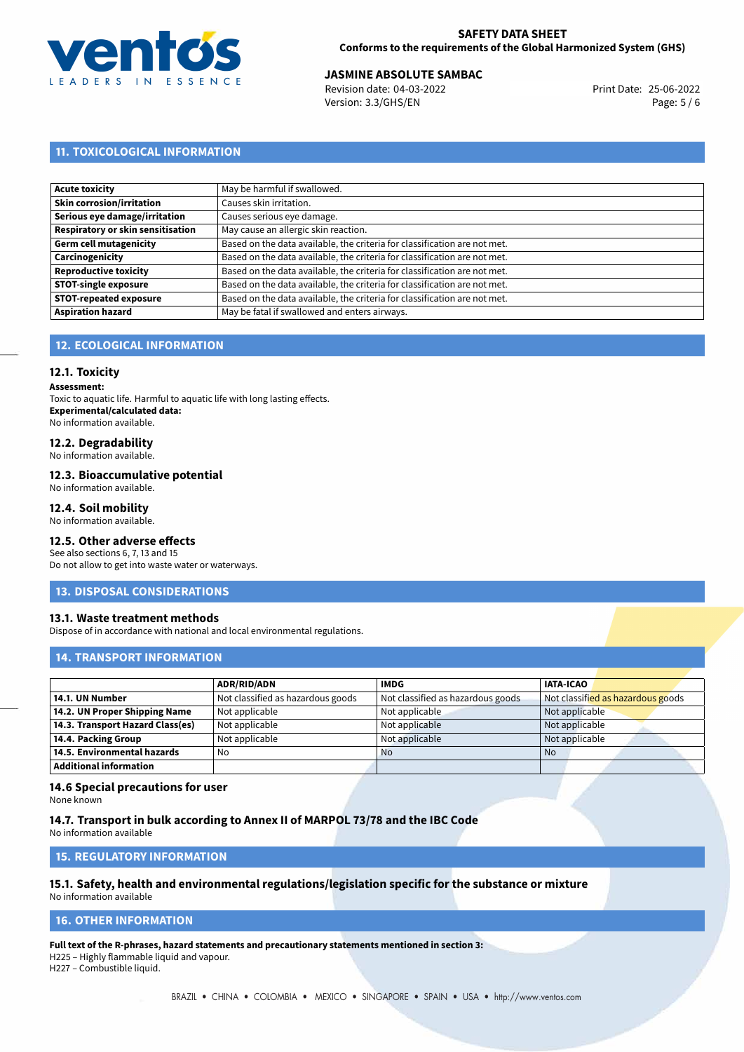

## **JASMINE ABSOLUTE SAMBAC**<br>
Revision date: 04-03-2022<br> **Print Date: 25-06-2022**

Revision date: 04-03-2022 Version: 3.3/GHS/EN Page: 5 / 6

## **11. TOXICOLOGICAL INFORMATION**

| Acute toxicity                    | May be harmful if swallowed.                                              |
|-----------------------------------|---------------------------------------------------------------------------|
| Skin corrosion/irritation         | Causes skin irritation.                                                   |
| Serious eye damage/irritation     | Causes serious eye damage.                                                |
| Respiratory or skin sensitisation | May cause an allergic skin reaction.                                      |
| Germ cell mutagenicity            | Based on the data available, the criteria for classification are not met. |
| <b>Carcinogenicity</b>            | Based on the data available, the criteria for classification are not met. |
| Reproductive toxicity             | Based on the data available, the criteria for classification are not met. |
| STOT-single exposure              | Based on the data available, the criteria for classification are not met. |
| <b>STOT-repeated exposure</b>     | Based on the data available, the criteria for classification are not met. |
| <b>Aspiration hazard</b>          | May be fatal if swallowed and enters airways.                             |

## **12. ECOLOGICAL INFORMATION**

## **12.1. Toxicity**

**Assessment:**

Toxic to aquatic life. Harmful to aquatic life with long lasting effects. **Experimental/calculated data:** No information available.

## **12.2. Degradability**

No information available.

#### **12.3. Bioaccumulative potential**

No information available.

#### **12.4. Soil mobility**

No information available.

## **12.5. Other adverse effects**

See also sections 6, 7, 13 and 15 Do not allow to get into waste water or waterways.

#### **13. DISPOSAL CONSIDERATIONS**

#### **13.1. Waste treatment methods**

Dispose of in accordance with national and local environmental regulations.

## **14. TRANSPORT INFORMATION**

|                                  | <b>ADR/RID/ADN</b>                | <b>IMDG</b>                       | <b>IATA-ICAO</b>                  |
|----------------------------------|-----------------------------------|-----------------------------------|-----------------------------------|
| 14.1. UN Number                  | Not classified as hazardous goods | Not classified as hazardous goods | Not classified as hazardous goods |
| 14.2. UN Proper Shipping Name    | Not applicable                    | Not applicable                    | Not applicable                    |
| 14.3. Transport Hazard Class(es) | Not applicable                    | Not applicable                    | Not applicable                    |
| 14.4. Packing Group              | Not applicable                    | Not applicable                    | Not applicable                    |
| 14.5. Environmental hazards      | No                                | <b>No</b>                         | <b>No</b>                         |
| <b>Additional information</b>    |                                   |                                   |                                   |

#### **14.6 Special precautions for user**

None known

## **14.7. Transport in bulk according to Annex II of MARPOL 73/78 and the IBC Code**

No information available

## **15. REGULATORY INFORMATION**

## **15.1. Safety, health and environmental regulations/legislation specific for the substance or mixture**

No information available

## <span id="page-4-0"></span>**16. OTHER INFORMATION**

**Full text of the R-phrases, hazard statements and precautionary statements mentioned in section 3:**

H225 – Highly flammable liquid and vapour.

H227 – Combustible liquid.